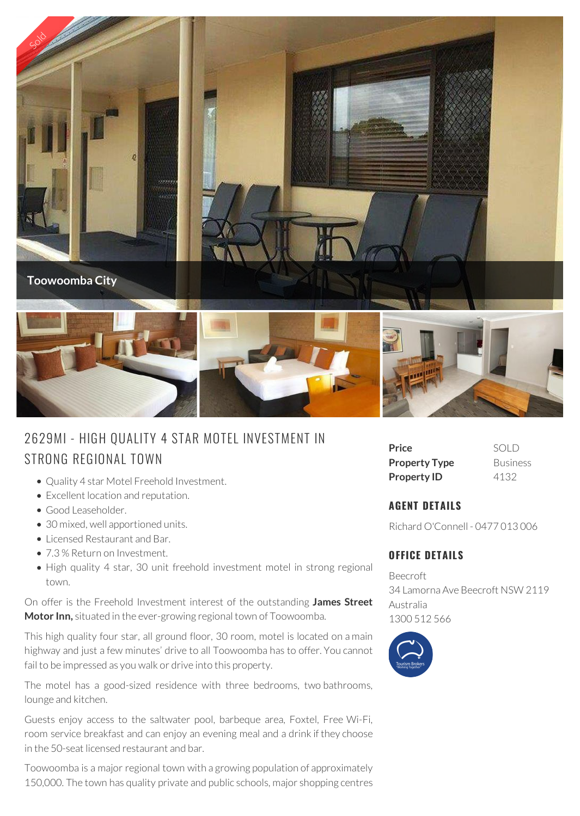

## 2629MI - HIGH QUALITY 4 S<br>STRONG REGIONAL TOWN

- Quality 4 star Motel Freehold Investment.
- Excellent location and reputation.
- Good Leaseholder.
- 30 mixed, well apportioned units.
- Licensed Restaurant and Bar.
- 7.3 % Return on Investment.
- High quality 4 star, 30 unit freehold investment motel in strong regional town.

On offer is the Freehold Investment interest of the outstanding **James Street Motor Inn,** situated in the ever-growing regional town of Toowoomba.

This high quality four star, all ground floor, 30 room, motel is located on a main highway and just a few minutes' drive to all Toowoomba has to offer. You cannot fail to be impressed as you walk or drive into this property.

The motel has a good-sized residence with three bedrooms, two bathrooms, lounge and kitchen.

Guests enjoy access to the saltwater pool, barbeque area, Foxtel, Free Wi-Fi, room service breakfast and can enjoy an evening meal and a drink if they choose in the 50-seat licensed restaurant and bar.

Toowoomba is a major regional town with a growing population of approximately 150,000. The town has quality private and public schools, major shopping centres

| Price                | SOLD            |
|----------------------|-----------------|
| <b>Property Type</b> | <b>Business</b> |
| <b>Property ID</b>   | 4132            |

## **AGENT DETAILS**

Richard O'Connell - 0477 013 006

## **OFFICE DETAILS**

Beecroft 34 Lamorna Ave Beecroft NSW 2119 Australia 1300 512 566